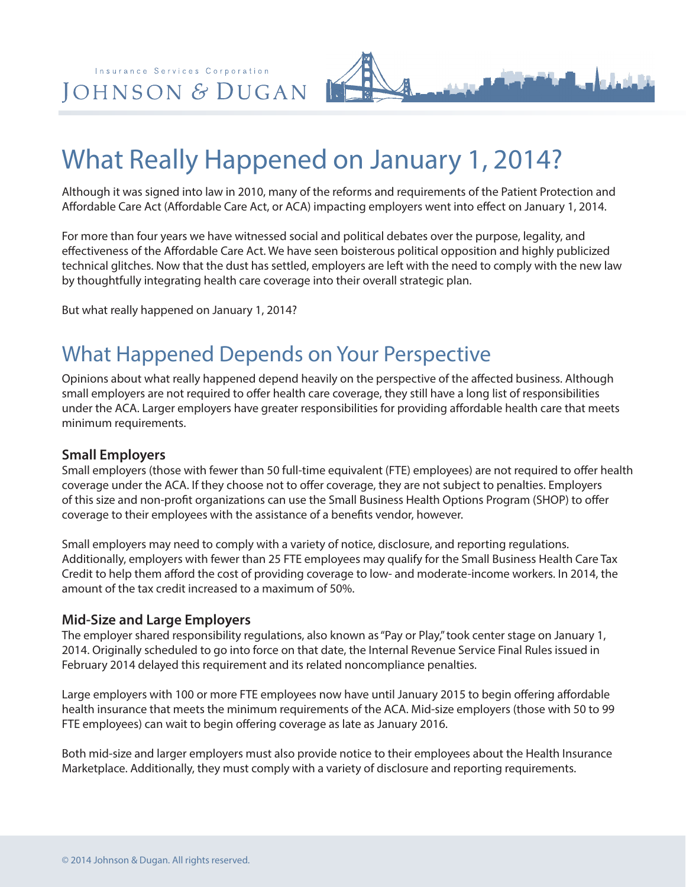Insurance Services Corporation JOHNSON & DUGAN

# What Really Happened on January 1, 2014?

Although it was signed into law in 2010, many of the reforms and requirements of the Patient Protection and Affordable Care Act (Affordable Care Act, or ACA) impacting employers went into effect on January 1, 2014.

For more than four years we have witnessed social and political debates over the purpose, legality, and effectiveness of the Affordable Care Act. We have seen boisterous political opposition and highly publicized technical glitches. Now that the dust has settled, employers are left with the need to comply with the new law by thoughtfully integrating health care coverage into their overall strategic plan.

But what really happened on January 1, 2014?

### What Happened Depends on Your Perspective

Opinions about what really happened depend heavily on the perspective of the affected business. Although small employers are not required to offer health care coverage, they still have a long list of responsibilities under the ACA. Larger employers have greater responsibilities for providing affordable health care that meets minimum requirements.

#### **Small Employers**

Small employers (those with fewer than 50 full-time equivalent (FTE) employees) are not required to offer health coverage under the ACA. If they choose not to offer coverage, they are not subject to penalties. Employers of this size and non-profit organizations can use the Small Business Health Options Program (SHOP) to offer coverage to their employees with the assistance of a benefits vendor, however.

Small employers may need to comply with a variety of notice, disclosure, and reporting regulations. Additionally, employers with fewer than 25 FTE employees may qualify for the Small Business Health Care Tax Credit to help them afford the cost of providing coverage to low- and moderate-income workers. In 2014, the amount of the tax credit increased to a maximum of 50%.

#### **Mid-Size and Large Employers**

The employer shared responsibility regulations, also known as "Pay or Play," took center stage on January 1, 2014. Originally scheduled to go into force on that date, the Internal Revenue Service Final Rules issued in February 2014 delayed this requirement and its related noncompliance penalties.

Large employers with 100 or more FTE employees now have until January 2015 to begin offering affordable health insurance that meets the minimum requirements of the ACA. Mid-size employers (those with 50 to 99 FTE employees) can wait to begin offering coverage as late as January 2016.

Both mid-size and larger employers must also provide notice to their employees about the Health Insurance Marketplace. Additionally, they must comply with a variety of disclosure and reporting requirements.